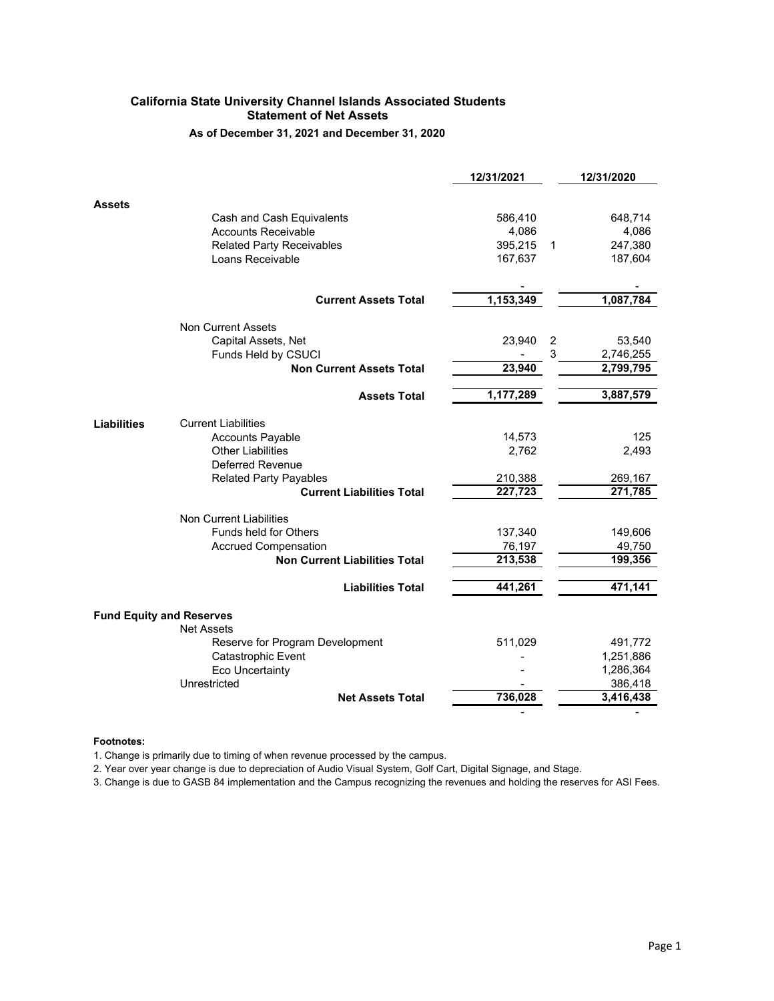# **California State University Channel Islands Associated Students Statement of Net Assets**

**As of December 31, 2021 and December 31, 2020**

|                    |                                                      | 12/31/2021 |   | 12/31/2020 |
|--------------------|------------------------------------------------------|------------|---|------------|
| <b>Assets</b>      |                                                      |            |   |            |
|                    | Cash and Cash Equivalents                            | 586,410    |   | 648,714    |
|                    | <b>Accounts Receivable</b>                           | 4,086      |   | 4,086      |
|                    | <b>Related Party Receivables</b>                     | 395,215    | 1 | 247,380    |
|                    | Loans Receivable                                     | 167,637    |   | 187,604    |
|                    | <b>Current Assets Total</b>                          | 1,153,349  |   | 1,087,784  |
|                    |                                                      |            |   |            |
|                    | <b>Non Current Assets</b>                            |            |   |            |
|                    | Capital Assets, Net                                  | 23,940     | 2 | 53,540     |
|                    | Funds Held by CSUCI                                  |            | 3 | 2,746,255  |
|                    | <b>Non Current Assets Total</b>                      | 23,940     |   | 2,799,795  |
|                    | <b>Assets Total</b>                                  | 1,177,289  |   | 3,887,579  |
| <b>Liabilities</b> | <b>Current Liabilities</b>                           |            |   |            |
|                    | <b>Accounts Payable</b>                              | 14,573     |   | 125        |
|                    | <b>Other Liabilities</b>                             | 2,762      |   | 2,493      |
|                    | Deferred Revenue                                     |            |   |            |
|                    | <b>Related Party Payables</b>                        | 210,388    |   | 269,167    |
|                    | <b>Current Liabilities Total</b>                     | 227,723    |   | 271,785    |
|                    | <b>Non Current Liabilities</b>                       |            |   |            |
|                    | <b>Funds held for Others</b>                         | 137,340    |   | 149,606    |
|                    | <b>Accrued Compensation</b>                          | 76,197     |   | 49,750     |
|                    | <b>Non Current Liabilities Total</b>                 | 213,538    |   | 199,356    |
|                    | <b>Liabilities Total</b>                             | 441,261    |   | 471,141    |
|                    |                                                      |            |   |            |
|                    | <b>Fund Equity and Reserves</b>                      |            |   |            |
|                    | <b>Net Assets</b><br>Reserve for Program Development | 511,029    |   | 491,772    |
|                    | Catastrophic Event                                   |            |   | 1,251,886  |
|                    | <b>Eco Uncertainty</b>                               |            |   | 1,286,364  |
|                    | Unrestricted                                         |            |   | 386,418    |
|                    | <b>Net Assets Total</b>                              | 736,028    |   | 3,416,438  |
|                    |                                                      |            |   |            |

## **Footnotes:**

1. Change is primarily due to timing of when revenue processed by the campus.

2. Year over year change is due to depreciation of Audio Visual System, Golf Cart, Digital Signage, and Stage.

3. Change is due to GASB 84 implementation and the Campus recognizing the revenues and holding the reserves for ASI Fees.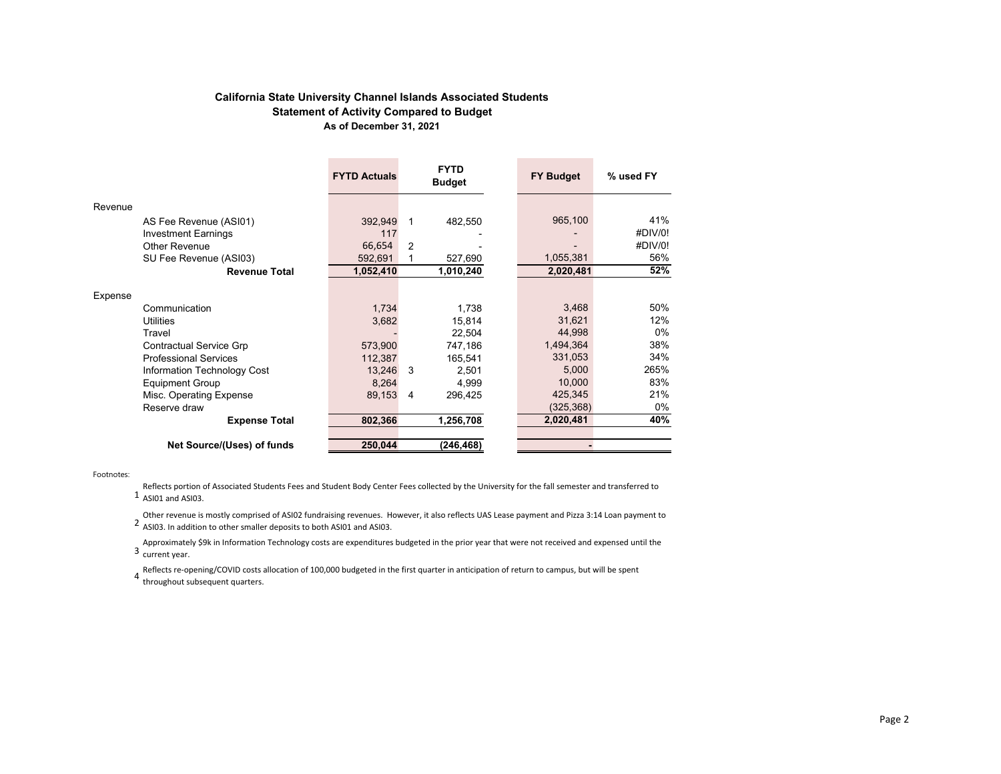## **California State University Channel Islands Associated Students Statement of Activity Compared to Budget As of December 31, 2021**

|         |                                | <b>FYTD Actuals</b> |                | <b>FYTD</b><br><b>Budget</b> | <b>FY Budget</b> | % used FY |
|---------|--------------------------------|---------------------|----------------|------------------------------|------------------|-----------|
| Revenue |                                |                     |                |                              |                  |           |
|         | AS Fee Revenue (ASI01)         | 392,949             | 1              | 482,550                      | 965,100          | 41%       |
|         | <b>Investment Earnings</b>     | 117                 |                |                              |                  | #DIV/0!   |
|         | Other Revenue                  | 66,654              | 2              |                              |                  | #DIV/0!   |
|         | SU Fee Revenue (ASI03)         | 592,691             |                | 527,690                      | 1,055,381        | 56%       |
|         | <b>Revenue Total</b>           | 1,052,410           |                | 1,010,240                    | 2,020,481        | 52%       |
| Expense |                                |                     |                |                              |                  |           |
|         | Communication                  | 1,734               |                | 1,738                        | 3,468            | 50%       |
|         | <b>Utilities</b>               | 3,682               |                | 15,814                       | 31,621           | 12%       |
|         | Travel                         |                     |                | 22,504                       | 44,998           | 0%        |
|         | <b>Contractual Service Grp</b> | 573,900             |                | 747,186                      | 1,494,364        | 38%       |
|         | <b>Professional Services</b>   | 112,387             |                | 165,541                      | 331,053          | 34%       |
|         | Information Technology Cost    | 13,246              | 3              | 2,501                        | 5,000            | 265%      |
|         | <b>Equipment Group</b>         | 8.264               |                | 4,999                        | 10,000           | 83%       |
|         | Misc. Operating Expense        | 89,153              | $\overline{4}$ | 296,425                      | 425,345          | 21%       |
|         | Reserve draw                   |                     |                |                              | (325, 368)       | 0%        |
|         | <b>Expense Total</b>           | 802,366             |                | 1,256,708                    | 2,020,481        | 40%       |
|         |                                |                     |                |                              |                  |           |
|         | Net Source/(Uses) of funds     | 250,044             |                | (246, 468)                   |                  |           |

Footnotes:

1 ASI01 and ASI03. Reflects portion of Associated Students Fees and Student Body Center Fees collected by the University for the fall semester and transferred to

Other revenue is mostly comprised of ASI02 fundraising revenues. However, it also reflects UAS Lease payment and Pizza 3:14 Loan payment to<br>2 ASI03 The addition to other smaller denosits to both ASI01 and ASI03 ASI03. In addition to other smaller deposits to both ASI01 and ASI03.

Approximately \$9k in Information Technology costs are expenditures budgeted in the prior year that were not received and expensed until the<br>3 current vear current year.

Reflects re-opening/COVID costs allocation of 100,000 budgeted in the first quarter in anticipation of return to campus, but will be spent<br>4 throughout subsequent quarters throughout subsequent quarters.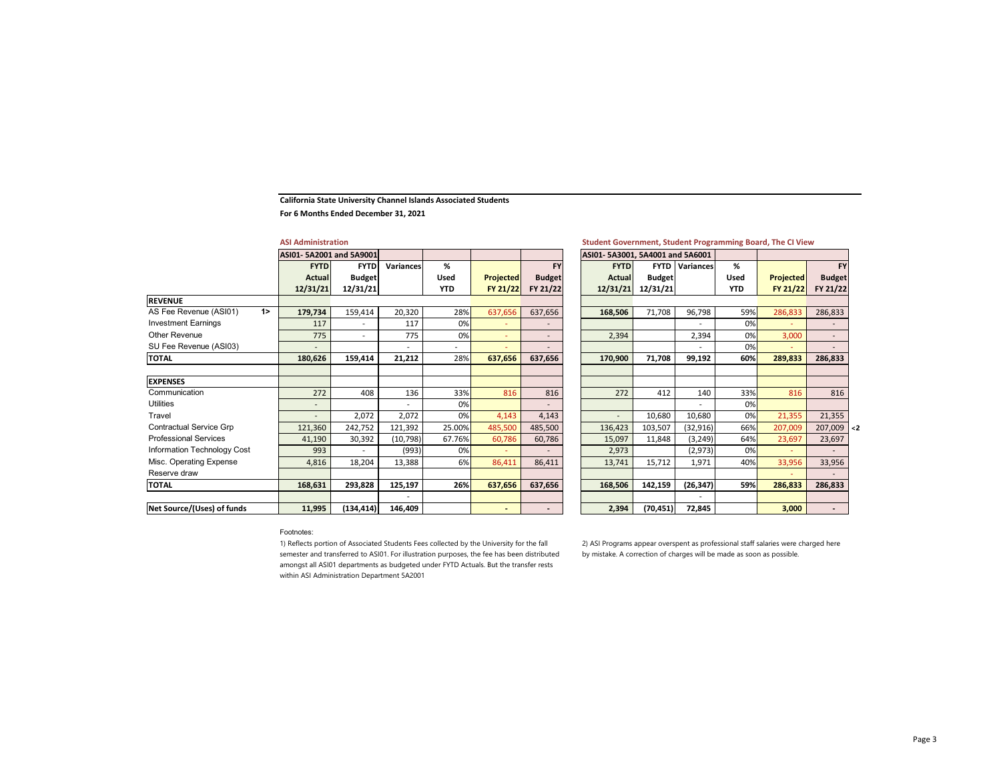#### **California State University Channel Islands Associated Students**

**For 6 Months Ended December 31, 2021**

|                                | <b>ASI Administration</b> |                          |                  |            |                          |                          | Student Government, Student Programming Board, The CI View |               |                       |            |                  |                          |        |
|--------------------------------|---------------------------|--------------------------|------------------|------------|--------------------------|--------------------------|------------------------------------------------------------|---------------|-----------------------|------------|------------------|--------------------------|--------|
|                                | ASI01-5A2001 and 5A9001   |                          |                  |            |                          |                          | ASI01-5A3001, 5A4001 and 5A6001                            |               |                       |            |                  |                          |        |
|                                | <b>FYTD</b>               | <b>FYTD</b>              | <b>Variances</b> | %          |                          | <b>FY</b>                | <b>FYTD</b>                                                |               | <b>FYTD</b> Variances | %          |                  | <b>FY</b>                |        |
|                                | Actual                    | <b>Budget</b>            |                  | Used       | <b>Projected</b>         | <b>Budget</b>            | Actual                                                     | <b>Budget</b> |                       | Used       | <b>Projected</b> | <b>Budget</b>            |        |
|                                | 12/31/21                  | 12/31/21                 |                  | <b>YTD</b> | FY 21/22                 | FY 21/22                 | 12/31/21                                                   | 12/31/21      |                       | <b>YTD</b> | FY 21/22         | FY 21/22                 |        |
| <b>REVENUE</b>                 |                           |                          |                  |            |                          |                          |                                                            |               |                       |            |                  |                          |        |
| AS Fee Revenue (ASI01)<br>1    | 179,734                   | 159,414                  | 20,320           | 28%        | 637,656                  | 637,656                  | 168,506                                                    | 71,708        | 96,798                | 59%        | 286,833          | 286,833                  |        |
| <b>Investment Earnings</b>     | 117                       | $\overline{\phantom{a}}$ | 117              | 0%         |                          |                          |                                                            |               |                       | 0%         |                  |                          |        |
| Other Revenue                  | 775                       | $\sim$                   | 775              | 0%         |                          | $\overline{\phantom{a}}$ | 2,394                                                      |               | 2,394                 | 0%         | 3,000            | $\sim$                   |        |
| SU Fee Revenue (ASI03)         |                           |                          |                  |            |                          | $\overline{\phantom{a}}$ |                                                            |               | $\overline{a}$        | 0%         |                  | ۰                        |        |
| <b>TOTAL</b>                   | 180,626                   | 159,414                  | 21,212           | 28%        | 637,656                  | 637,656                  | 170,900                                                    | 71,708        | 99,192                | 60%        | 289,833          | 286,833                  |        |
|                                |                           |                          |                  |            |                          |                          |                                                            |               |                       |            |                  |                          |        |
| <b>EXPENSES</b>                |                           |                          |                  |            |                          |                          |                                                            |               |                       |            |                  |                          |        |
| Communication                  | 272                       | 408                      | 136              | 33%        | 816                      | 816                      | 272                                                        | 412           | 140                   | 33%        | 816              | 816                      |        |
| <b>Utilities</b>               |                           |                          |                  | 0%         |                          |                          |                                                            |               |                       | 0%         |                  |                          |        |
| Travel                         | $\overline{\phantom{a}}$  | 2,072                    | 2,072            | 0%         | 4,143                    | 4,143                    | ÷                                                          | 10,680        | 10,680                | 0%         | 21,355           | 21,355                   |        |
| <b>Contractual Service Grp</b> | 121,360                   | 242,752                  | 121,392          | 25.00%     | 485,500                  | 485,500                  | 136,423                                                    | 103,507       | (32, 916)             | 66%        | 207,009          | 207,009                  | $\leq$ |
| <b>Professional Services</b>   | 41,190                    | 30,392                   | (10, 798)        | 67.76%     | 60,786                   | 60,786                   | 15,097                                                     | 11,848        | (3, 249)              | 64%        | 23,697           | 23,697                   |        |
| Information Technology Cost    | 993                       |                          | (993)            | 0%         |                          |                          | 2,973                                                      |               | (2, 973)              | 0%         |                  |                          |        |
| Misc. Operating Expense        | 4,816                     | 18,204                   | 13,388           | 6%         | 86,411                   | 86,411                   | 13,741                                                     | 15,712        | 1,971                 | 40%        | 33,956           | 33,956                   |        |
| Reserve draw                   |                           |                          |                  |            |                          |                          |                                                            |               |                       |            |                  | ٠                        |        |
| <b>TOTAL</b>                   | 168,631                   | 293,828                  | 125,197          | 26%        | 637,656                  | 637,656                  | 168,506                                                    | 142,159       | (26, 347)             | 59%        | 286,833          | 286,833                  |        |
|                                |                           |                          |                  |            |                          |                          |                                                            |               |                       |            |                  |                          |        |
| Net Source/(Uses) of funds     | 11,995                    | (134, 414)               | 146,409          |            | $\overline{\phantom{0}}$ | $\overline{\phantom{0}}$ | 2,394                                                      | (70, 451)     | 72,845                |            | 3,000            | $\overline{\phantom{a}}$ |        |

|               | 5A2001 and 5A9001 |                          |                |                          |               | ASI01-5A3001, 5A4001 and 5A6001 |               |                  |            |                  |                          |
|---------------|-------------------|--------------------------|----------------|--------------------------|---------------|---------------------------------|---------------|------------------|------------|------------------|--------------------------|
| <b>FYTD</b>   | <b>FYTD</b>       | <b>Variances</b>         | %              |                          | <b>FY</b>     | <b>FYTD</b>                     | <b>FYTD</b>   | <b>Variances</b> | %          |                  | <b>FY</b>                |
| <b>Actual</b> | <b>Budget</b>     |                          | Used           | <b>Projected</b>         | <b>Budget</b> | <b>Actual</b>                   | <b>Budget</b> |                  | Used       | <b>Projected</b> | <b>Budget</b>            |
| 31/21         | 12/31/21          |                          | <b>YTD</b>     | FY 21/22                 | FY 21/22      | 12/31/21                        | 12/31/21      |                  | <b>YTD</b> | FY 21/22         | FY 21/22                 |
|               |                   |                          |                |                          |               |                                 |               |                  |            |                  |                          |
| 9,734         | 159,414           | 20,320                   | 28%            | 637,656                  | 637,656       | 168,506                         | 71,708        | 96,798           | 59%        | 286,833          | 286,833                  |
| 117           |                   | 117                      | 0%             |                          |               |                                 |               |                  | 0%         |                  |                          |
| 775           |                   | 775                      | 0%             | $\overline{\phantom{a}}$ |               | 2,394                           |               | 2,394            | 0%         | 3,000            | ٠.                       |
|               |                   | $\overline{a}$           | $\overline{a}$ | ÷                        |               |                                 |               |                  | 0%         |                  | $\overline{\phantom{a}}$ |
| 0,626         | 159,414           | 21,212                   | 28%            | 637,656                  | 637,656       | 170,900                         | 71,708        | 99,192           | 60%        | 289,833          | 286,833                  |
|               |                   |                          |                |                          |               |                                 |               |                  |            |                  |                          |
|               |                   |                          |                |                          |               |                                 |               |                  |            |                  |                          |
| 272           | 408               | 136                      | 33%            | 816                      | 816           | 272                             | 412           | 140              | 33%        | 816              | 816                      |
|               |                   | $\overline{\phantom{0}}$ | 0%             |                          |               |                                 |               |                  | 0%         |                  |                          |
|               | 2,072             | 2,072                    | 0%             | 4,143                    | 4,143         | $\overline{\phantom{a}}$        | 10,680        | 10,680           | 0%         | 21,355           | 21,355                   |
| 1,360         | 242,752           | 121,392                  | 25.00%         | 485,500                  | 485,500       | 136,423                         | 103,507       | (32,916)         | 66%        | 207,009          | 207,009                  |
| 1,190         | 30,392            | (10, 798)                | 67.76%         | 60,786                   | 60,786        | 15,097                          | 11,848        | (3, 249)         | 64%        | 23,697           | 23,697                   |
| 993           |                   | (993)                    | 0%             |                          |               | 2,973                           |               | (2,973)          | 0%         | ÷                |                          |
| 4,816         | 18,204            | 13,388                   | 6%             | 86,411                   | 86,411        | 13,741                          | 15,712        | 1,971            | 40%        | 33,956           | 33,956                   |
|               |                   |                          |                |                          |               |                                 |               |                  |            |                  |                          |
| 8,631         | 293,828           | 125,197                  | 26%            | 637,656                  | 637,656       | 168,506                         | 142,159       | (26, 347)        | 59%        | 286,833          | 286,833                  |
|               |                   |                          |                |                          |               |                                 |               |                  |            |                  |                          |
| 1,995         | (134, 414)        | 146,409                  |                |                          |               | 2,394                           | (70, 451)     | 72,845           |            | 3,000            | $\overline{\phantom{0}}$ |

#### Footnotes:

1) Reflects portion of Associated Students Fees collected by the University for the fall semester and transferred to ASI01. For illustration purposes, the fee has been distributed amongst all ASI01 departments as budgeted under FYTD Actuals. But the transfer rests within ASI Administration Department 5A2001

2) ASI Programs appear overspent as professional staff salaries were charged here by mistake. A correction of charges will be made as soon as possible.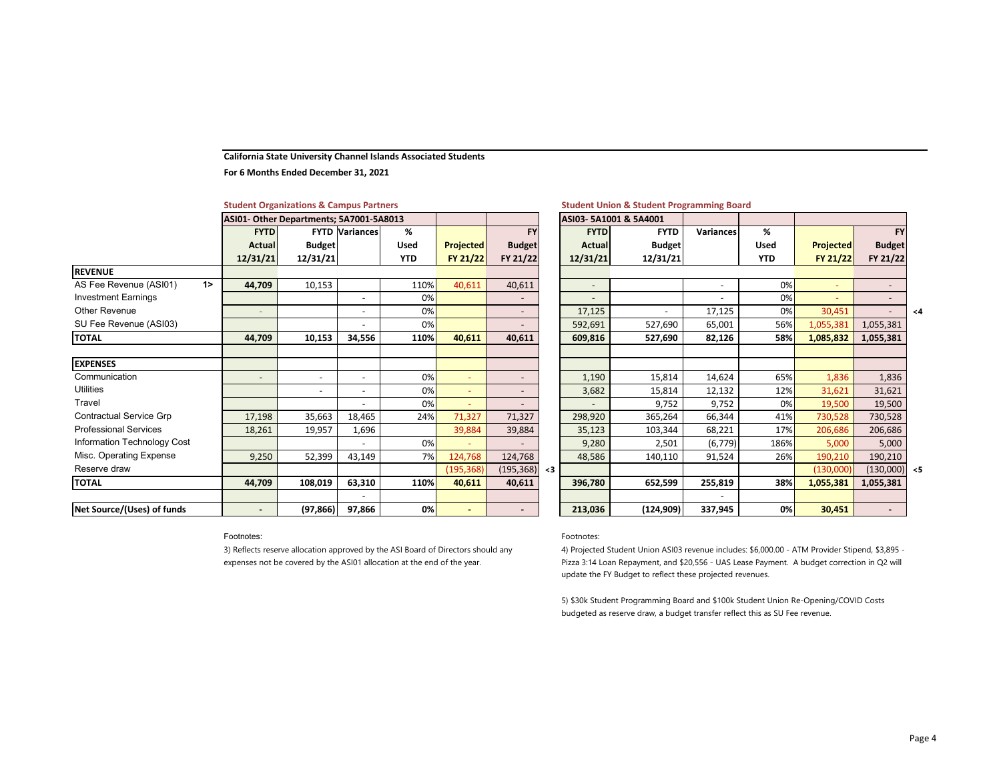#### **California State University Channel Islands Associated Students**

**For 6 Months Ended December 31, 2021**

|                                |                          | Student Organizations & Campus Partners |                       |             |                  |                          |                       | Student Union & Student Programming |        |
|--------------------------------|--------------------------|-----------------------------------------|-----------------------|-------------|------------------|--------------------------|-----------------------|-------------------------------------|--------|
|                                |                          | ASI01- Other Departments; 5A7001-5A8013 |                       |             |                  |                          | ASI03-5A1001 & 5A4001 |                                     |        |
|                                | <b>FYTD</b>              |                                         | <b>FYTD Variances</b> | %           |                  | <b>FY</b>                | <b>FYTD</b>           | <b>FYTD</b>                         | Varian |
|                                | <b>Actual</b>            | <b>Budget</b>                           |                       | <b>Used</b> | <b>Projected</b> | <b>Budget</b>            | <b>Actual</b>         | <b>Budget</b>                       |        |
|                                | 12/31/21                 | 12/31/21                                |                       | <b>YTD</b>  | FY 21/22         | FY 21/22                 | 12/31/21              | 12/31/21                            |        |
| <b>REVENUE</b>                 |                          |                                         |                       |             |                  |                          |                       |                                     |        |
| 1<br>AS Fee Revenue (ASI01)    | 44,709                   | 10,153                                  |                       | 110%        | 40,611           | 40,611                   | $\sim$                |                                     |        |
| <b>Investment Earnings</b>     |                          |                                         | $\blacksquare$        | 0%          |                  | $\overline{\phantom{a}}$ |                       |                                     |        |
| <b>Other Revenue</b>           | ٠                        |                                         | $\blacksquare$        | 0%          |                  | $\overline{\phantom{a}}$ | 17,125                |                                     | 17,1   |
| SU Fee Revenue (ASI03)         |                          |                                         |                       | 0%          |                  |                          | 592,691               | 527,690                             | 65,0   |
| <b>TOTAL</b>                   | 44,709                   | 10,153                                  | 34,556                | 110%        | 40,611           | 40,611                   | 609,816               | 527,690                             | 82,1   |
| <b>EXPENSES</b>                |                          |                                         |                       |             |                  |                          |                       |                                     |        |
| Communication                  | $\overline{\phantom{a}}$ | $\blacksquare$                          | $\blacksquare$        | 0%          | $\blacksquare$   | $\overline{\phantom{a}}$ | 1,190                 | 15,814                              | 14,6   |
| <b>Utilities</b>               |                          | ٠                                       |                       | 0%          |                  | ۰.                       | 3,682                 | 15,814                              | 12,1   |
| Travel                         |                          |                                         |                       | 0%          |                  |                          |                       | 9,752                               | 9,7    |
| <b>Contractual Service Grp</b> | 17,198                   | 35,663                                  | 18,465                | 24%         | 71,327           | 71,327                   | 298,920               | 365,264                             | 66,3   |
| <b>Professional Services</b>   | 18,261                   | 19,957                                  | 1,696                 |             | 39,884           | 39,884                   | 35,123                | 103,344                             | 68,2   |
| Information Technology Cost    |                          |                                         |                       | 0%          |                  |                          | 9,280                 | 2,501                               | (6,7)  |
| Misc. Operating Expense        | 9,250                    | 52,399                                  | 43,149                | 7%          | 124,768          | 124,768                  | 48,586                | 140,110                             | 91,5   |
| Reserve draw                   |                          |                                         |                       |             | (195, 368)       | (195, 368) < 3           |                       |                                     |        |
| <b>TOTAL</b>                   | 44,709                   | 108,019                                 | 63,310                | 110%        | 40,611           | 40,611                   | 396,780               | 652,599                             | 255,8  |
|                                |                          |                                         |                       |             |                  |                          |                       |                                     |        |
| Net Source/(Uses) of funds     |                          | (97, 866)                               | 97,866                | 0%          |                  |                          | 213,036               | (124,909)                           | 337,9  |

## **Student Organizations & Campus Partners**

## **Organizations & Campus Partners Student Union & Student Programming Board**

|        |               |                  |             |                          | ASI03-5A1001 & 5A4001 |                          |     |                          |            |             |                          | SI01- Other Departments; 5A7001-5A8013 |               |
|--------|---------------|------------------|-------------|--------------------------|-----------------------|--------------------------|-----|--------------------------|------------|-------------|--------------------------|----------------------------------------|---------------|
|        | <b>FY</b>     |                  | %           | Variances                | <b>FYTD</b>           | <b>FYTD</b>              |     | <b>FY</b>                |            | %           | <b>FYTD Variances</b>    |                                        | <b>FYTD</b>   |
|        | <b>Budget</b> | <b>Projected</b> | <b>Used</b> |                          | <b>Budget</b>         | <b>Actual</b>            |     | <b>Budget</b>            | Projected  | <b>Used</b> |                          | <b>Budget</b>                          | <b>Actual</b> |
|        | FY 21/22      | FY 21/22         | <b>YTD</b>  |                          | 12/31/21              | 12/31/21                 |     | FY 21/22                 | FY 21/22   | <b>YTD</b>  |                          | 12/31/21                               | 12/31/21      |
|        |               |                  |             |                          |                       |                          |     |                          |            |             |                          |                                        |               |
|        |               |                  | 0%          | $\overline{\phantom{0}}$ |                       | $\overline{\phantom{a}}$ |     | 40,611                   | 40,611     | 110%        |                          | 10,153                                 | 44,709        |
|        |               |                  | 0%          |                          |                       |                          |     |                          |            | 0%          |                          |                                        |               |
| $\leq$ | $\equiv$      | 30,451           | 0%          | 17,125                   |                       | 17,125                   |     | $\overline{\phantom{a}}$ |            | 0%          | $\overline{\phantom{a}}$ |                                        | ٠             |
|        | 1,055,381     | 1,055,381        | 56%         | 65,001                   | 527,690               | 592,691                  |     |                          |            | 0%          |                          |                                        |               |
|        | 1,055,381     | 1,085,832        | 58%         | 82,126                   | 527,690               | 609,816                  |     | 40,611                   | 40,611     | 110%        | 34,556                   | 10,153                                 | 44,709        |
|        |               |                  |             |                          |                       |                          |     |                          |            |             |                          |                                        |               |
|        |               |                  |             |                          |                       |                          |     |                          |            |             |                          |                                        |               |
|        | 1,836         | 1,836            | 65%         | 14,624                   | 15,814                | 1,190                    |     | $\overline{\phantom{0}}$ |            | 0%          |                          | $\overline{\phantom{0}}$               | ٠             |
|        | 31,621        | 31,621           | 12%         | 12,132                   | 15,814                | 3,682                    |     | $\overline{\phantom{0}}$ | ٠          | 0%          |                          | $\overline{\phantom{0}}$               |               |
|        | 19,500        | 19,500           | 0%          | 9,752                    | 9,752                 |                          |     | $\overline{\phantom{0}}$ |            | 0%          |                          |                                        |               |
|        | 730,528       | 730,528          | 41%         | 66,344                   | 365,264               | 298,920                  |     | 71,327                   | 71,327     | 24%         | 18,465                   | 35,663                                 | 17,198        |
|        | 206,686       | 206,686          | 17%         | 68,221                   | 103,344               | 35,123                   |     | 39,884                   | 39,884     |             | 1,696                    | 19,957                                 | 18,261        |
|        | 5,000         | 5,000            | 186%        | (6, 779)                 | 2,501                 | 9,280                    |     |                          |            | 0%          |                          |                                        |               |
|        | 190,210       | 190,210          | 26%         | 91,524                   | 140,110               | 48,586                   |     | 124,768                  | 124,768    | 7%          | 43,149                   | 52,399                                 | 9,250         |
| $<$ 5  | (130,000)     | (130,000)        |             |                          |                       |                          | $3$ | (195, 368)               | (195, 368) |             |                          |                                        |               |
|        | 1,055,381     | 1,055,381        | 38%         | 255,819                  | 652,599               | 396,780                  |     | 40,611                   | 40,611     | 110%        | 63,310                   | 108,019                                | 44,709        |
|        |               |                  |             |                          |                       |                          |     |                          |            |             |                          |                                        |               |
|        | ٠             | 30,451           | 0%          | 337,945                  | (124, 909)            | 213,036                  |     | -                        | ٠          | 0%          | 97,866                   | (97, 866)                              | ۰.            |

### Footnotes:

3) Reflects reserve allocation approved by the ASI Board of Directors should any expenses not be covered by the ASI01 allocation at the end of the year.

## Footnotes:

4) Projected Student Union ASI03 revenue includes: \$6,000.00 - ATM Provider Stipend, \$3,895 - Pizza 3:14 Loan Repayment, and \$20,556 - UAS Lease Payment. A budget correction in Q2 will update the FY Budget to reflect these projected revenues.

5) \$30k Student Programming Board and \$100k Student Union Re-Opening/COVID Costs budgeted as reserve draw, a budget transfer reflect this as SU Fee revenue.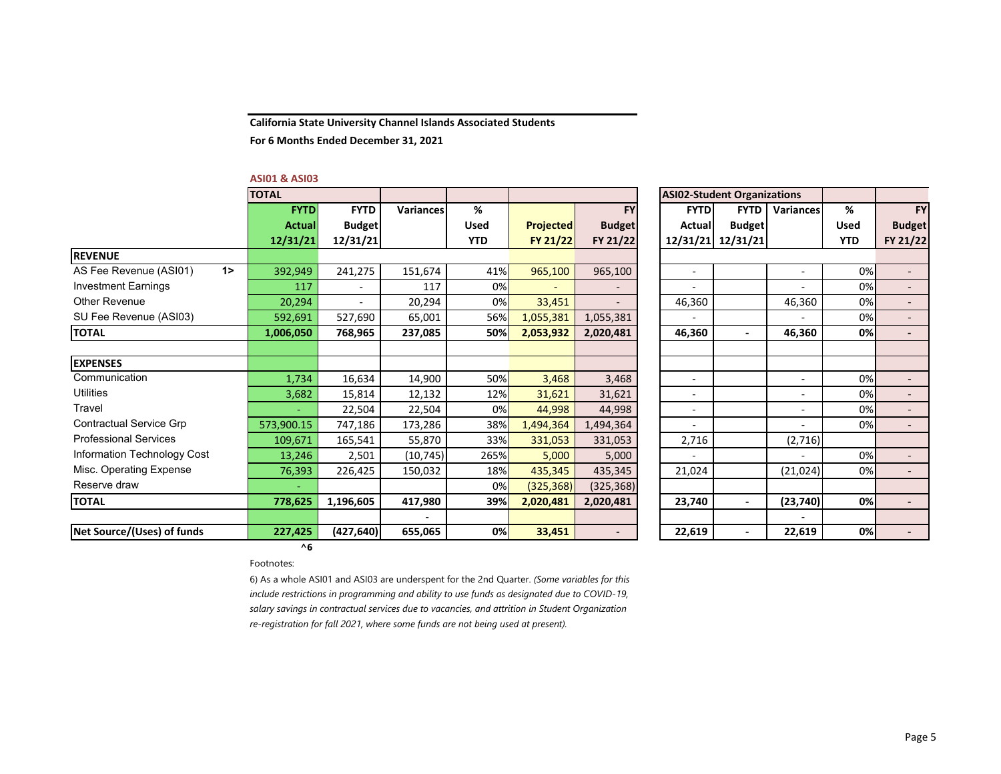**California State University Channel Islands Associated Students**

**For 6 Months Ended December 31, 2021**

#### **ASI01 & ASI03**

|                                | <b>TOTAL</b>  |                |           |            |                  | <b>ASI02-Student Organizations</b> |                          |                   |                          |             |               |
|--------------------------------|---------------|----------------|-----------|------------|------------------|------------------------------------|--------------------------|-------------------|--------------------------|-------------|---------------|
|                                | <b>FYTD</b>   | <b>FYTD</b>    | Variances | %          |                  | <b>FY</b>                          | <b>FYTD</b>              | <b>FYTD</b>       | <b>Variances</b>         | %           | <b>FY</b>     |
|                                | <b>Actual</b> | <b>Budget</b>  |           | Used       | <b>Projected</b> | <b>Budget</b>                      | Actual                   | <b>Budget</b>     |                          | <b>Used</b> | <b>Budget</b> |
|                                | 12/31/21      | 12/31/21       |           | <b>YTD</b> | <b>FY 21/22</b>  | FY 21/22                           |                          | 12/31/21 12/31/21 |                          | <b>YTD</b>  | FY 21/22      |
| <b>REVENUE</b>                 |               |                |           |            |                  |                                    |                          |                   |                          |             |               |
| AS Fee Revenue (ASI01)<br>1    | 392,949       | 241,275        | 151,674   | 41%        | 965,100          | 965,100                            | $\overline{\phantom{a}}$ |                   | $\overline{\phantom{a}}$ | 0%          |               |
| <b>Investment Earnings</b>     | 117           | -              | 117       | 0%         |                  |                                    | $\overline{\phantom{a}}$ |                   | $\sim$                   | 0%          | $\sim$        |
| Other Revenue                  | 20,294        | $\blacksquare$ | 20,294    | 0%         | 33,451           | $\overline{\phantom{0}}$           | 46,360                   |                   | 46,360                   | 0%          |               |
| SU Fee Revenue (ASI03)         | 592,691       | 527,690        | 65,001    | 56%        | 1,055,381        | 1,055,381                          |                          |                   |                          | 0%          |               |
| <b>TOTAL</b>                   | 1,006,050     | 768,965        | 237,085   | 50%        | 2,053,932        | 2,020,481                          | 46,360                   |                   | 46,360                   | 0%          |               |
|                                |               |                |           |            |                  |                                    |                          |                   |                          |             |               |
| <b>EXPENSES</b>                |               |                |           |            |                  |                                    |                          |                   |                          |             |               |
| Communication                  | 1,734         | 16,634         | 14,900    | 50%        | 3,468            | 3,468                              | $\overline{\phantom{a}}$ |                   | $\overline{\phantom{a}}$ | 0%          |               |
| <b>Utilities</b>               | 3,682         | 15,814         | 12,132    | 12%        | 31,621           | 31,621                             | $\overline{\phantom{a}}$ |                   | $\overline{\phantom{a}}$ | 0%          | $\sim$        |
| Travel                         |               | 22,504         | 22,504    | 0%         | 44,998           | 44,998                             | $\blacksquare$           |                   | $\overline{\phantom{a}}$ | 0%          | $\sim$        |
| <b>Contractual Service Grp</b> | 573,900.15    | 747,186        | 173,286   | 38%        | 1,494,364        | 1,494,364                          | $\blacksquare$           |                   | $\sim$                   | 0%          |               |
| <b>Professional Services</b>   | 109,671       | 165,541        | 55,870    | 33%        | 331,053          | 331,053                            | 2,716                    |                   | (2,716)                  |             |               |
| Information Technology Cost    | 13,246        | 2,501          | (10, 745) | 265%       | 5,000            | 5,000                              |                          |                   |                          | 0%          |               |
| Misc. Operating Expense        | 76,393        | 226,425        | 150,032   | 18%        | 435,345          | 435,345                            | 21,024                   |                   | (21, 024)                | 0%          |               |
| Reserve draw                   |               |                |           | 0%         | (325, 368)       | (325, 368)                         |                          |                   |                          |             |               |
| <b>TOTAL</b>                   | 778,625       | 1,196,605      | 417,980   | 39%        | 2,020,481        | 2,020,481                          | 23,740                   |                   | (23, 740)                | 0%          |               |
|                                |               |                |           |            |                  |                                    |                          |                   |                          |             |               |
| Net Source/(Uses) of funds     | 227,425       | (427, 640)     | 655,065   | 0%         | 33,451           | $\overline{\phantom{a}}$           | 22,619                   |                   | 22,619                   | 0%          |               |

|               | <b>ASI02-Student Organizations</b> |                  |             |               |
|---------------|------------------------------------|------------------|-------------|---------------|
| <b>FYTD</b>   | <b>FYTD</b>                        | <b>Variances</b> | %           | <b>FY</b>     |
| <b>Actual</b> | <b>Budget</b>                      |                  | <b>Used</b> | <b>Budget</b> |
| 12/31/21      | 12/31/21                           |                  | <b>YTD</b>  | FY 21/22      |
|               |                                    |                  |             |               |
|               |                                    |                  | 0%          |               |
|               |                                    |                  | 0%          |               |
| 46,360        |                                    | 46,360           | 0%          |               |
|               |                                    |                  | 0%          |               |
| 46,360        |                                    | 46,360           | 0%          |               |
|               |                                    |                  |             |               |
|               |                                    |                  |             |               |
|               |                                    |                  | 0%          |               |
|               |                                    |                  | 0%          |               |
|               |                                    |                  | 0%          |               |
|               |                                    |                  | 0%          |               |
| 2,716         |                                    | (2,716)          |             |               |
|               |                                    |                  | 0%          |               |
| 21,024        |                                    | (21, 024)        | 0%          |               |
|               |                                    |                  |             |               |
| 23,740        |                                    | (23, 740)        | 0%          |               |
|               |                                    |                  |             |               |
| 22.619        |                                    | 22.619           | 0%          |               |

## Footnotes:

**^6**

6) As a whole ASI01 and ASI03 are underspent for the 2nd Quarter. *(Some variables for this include restrictions in programming and ability to use funds as designated due to COVID-19, salary savings in contractual services due to vacancies, and attrition in Student Organization re-registration for fall 2021, where some funds are not being used at present).*